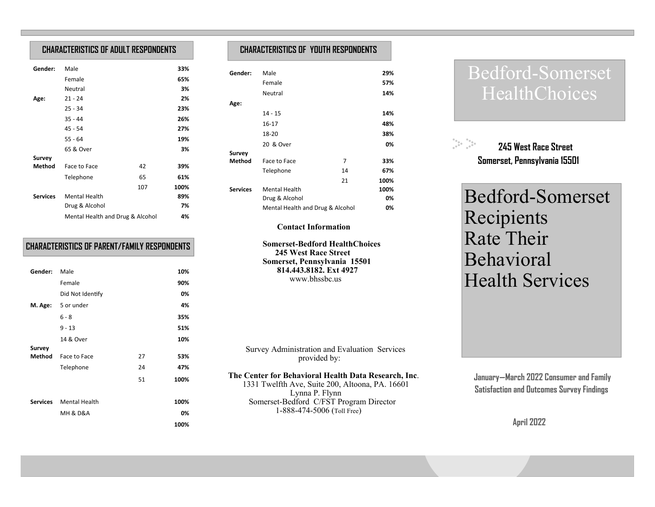## **CHARACTERISTICS OF ADULT RESPONDENTS**

| Gender:         | Male                             |     | 33%  |  |
|-----------------|----------------------------------|-----|------|--|
|                 | Female                           |     | 65%  |  |
|                 | Neutral                          |     | 3%   |  |
| Age:            | $21 - 24$                        |     | 2%   |  |
|                 | $25 - 34$                        |     | 23%  |  |
|                 | $35 - 44$                        |     | 26%  |  |
|                 | 45 - 54                          |     | 27%  |  |
|                 | $55 - 64$                        |     | 19%  |  |
|                 | 65 & Over                        |     | 3%   |  |
| <b>Survey</b>   |                                  |     |      |  |
| Method          | Face to Face                     | 42  | 39%  |  |
|                 | Telephone                        | 65  | 61%  |  |
|                 |                                  | 107 | 100% |  |
| <b>Services</b> | <b>Mental Health</b>             |     | 89%  |  |
|                 | Drug & Alcohol                   |     | 7%   |  |
|                 | Mental Health and Drug & Alcohol |     | 4%   |  |

## **CHARACTERISTICS OF PARENT/FAMILY RESPONDENTS**

| Gender: | Male                          |    | 10%  |
|---------|-------------------------------|----|------|
|         | Female                        |    | 90%  |
|         | Did Not Identify              |    | 0%   |
|         | M. Age: 5 or under            |    | 4%   |
|         | $6 - 8$                       |    | 35%  |
|         | $9 - 13$                      |    | 51%  |
|         | 14 & Over                     |    | 10%  |
| Survey  |                               |    |      |
| Method  | Face to Face                  | 27 | 53%  |
|         | Telephone                     | 24 | 47%  |
|         |                               | 51 | 100% |
|         |                               |    |      |
|         | <b>Services</b> Mental Health |    | 100% |
|         | <b>MH &amp; D&amp;A</b>       |    | 0%   |
|         |                               |    | 100% |

## **CHARACTERISTICS OF YOUTH RESPONDENTS**

| Gender:         | Male                             |    | 29%  |
|-----------------|----------------------------------|----|------|
|                 | Female                           |    | 57%  |
|                 | Neutral                          |    | 14%  |
| Age:            |                                  |    |      |
|                 | $14 - 15$                        |    | 14%  |
|                 | 16-17                            |    | 48%  |
|                 | 18-20                            |    | 38%  |
|                 | 20 & Over                        |    | 0%   |
| Survey          |                                  |    |      |
| Method          | Face to Face                     | 7  | 33%  |
|                 | Telephone                        | 14 | 67%  |
|                 |                                  | 21 | 100% |
| <b>Services</b> | <b>Mental Health</b>             |    | 100% |
|                 | Drug & Alcohol                   |    | 0%   |
|                 | Mental Health and Drug & Alcohol |    | 0%   |

### **Contact Information**

 **Somerset-Bedford HealthChoices 245 West Race Street Somerset, Pennsylvania 15501 814.443.8182. Ext 4927**www.bhssbc.us

 Survey Administration and Evaluation Services provided by:

**The Center for Behavioral Health Data Research, Inc**.

 1331 Twelfth Ave, Suite 200, Altoona, PA. 16601 Lynna P. Flynn Somerset-Bedford C/FST Program Director 1-888-474-5006 (Toll Free)

# Bedford-Somerset HealthChoices



**245 West Race Street Somerset, Pennsylvania 15501**

Bedford-Somerset Recipients Rate Their Behavioral Health Services

 **January—March 2022 Consumer and Family Satisfaction and Outcomes Survey Findings** 

**April 2022**